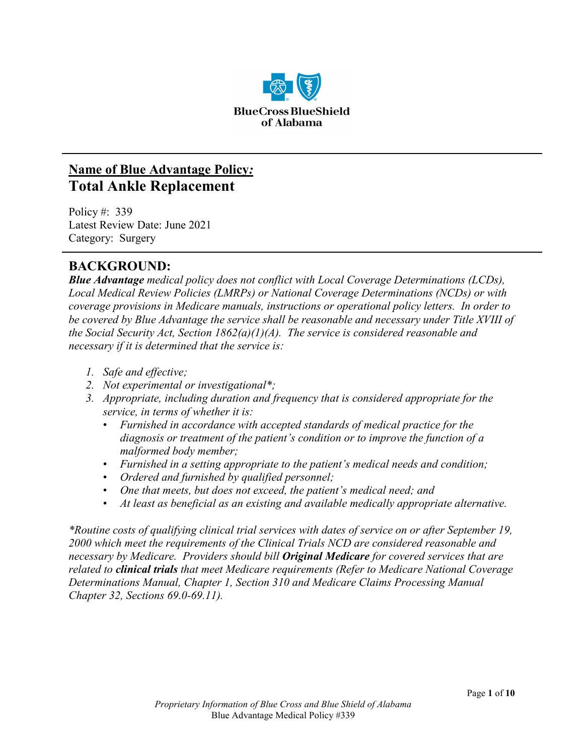

# **Name of Blue Advantage Policy***:* **Total Ankle Replacement**

Policy #: 339 Latest Review Date: June 2021 Category: Surgery

# **BACKGROUND:**

*Blue Advantage medical policy does not conflict with Local Coverage Determinations (LCDs), Local Medical Review Policies (LMRPs) or National Coverage Determinations (NCDs) or with coverage provisions in Medicare manuals, instructions or operational policy letters. In order to be covered by Blue Advantage the service shall be reasonable and necessary under Title XVIII of the Social Security Act, Section 1862(a)(1)(A). The service is considered reasonable and necessary if it is determined that the service is:*

- *1. Safe and effective;*
- *2. Not experimental or investigational\*;*
- *3. Appropriate, including duration and frequency that is considered appropriate for the service, in terms of whether it is:*
	- *Furnished in accordance with accepted standards of medical practice for the diagnosis or treatment of the patient's condition or to improve the function of a malformed body member;*
	- *Furnished in a setting appropriate to the patient's medical needs and condition;*
	- *Ordered and furnished by qualified personnel;*
	- *One that meets, but does not exceed, the patient's medical need; and*
	- *At least as beneficial as an existing and available medically appropriate alternative.*

*\*Routine costs of qualifying clinical trial services with dates of service on or after September 19, 2000 which meet the requirements of the Clinical Trials NCD are considered reasonable and necessary by Medicare. Providers should bill Original Medicare for covered services that are related to clinical trials that meet Medicare requirements (Refer to Medicare National Coverage Determinations Manual, Chapter 1, Section 310 and Medicare Claims Processing Manual Chapter 32, Sections 69.0-69.11).*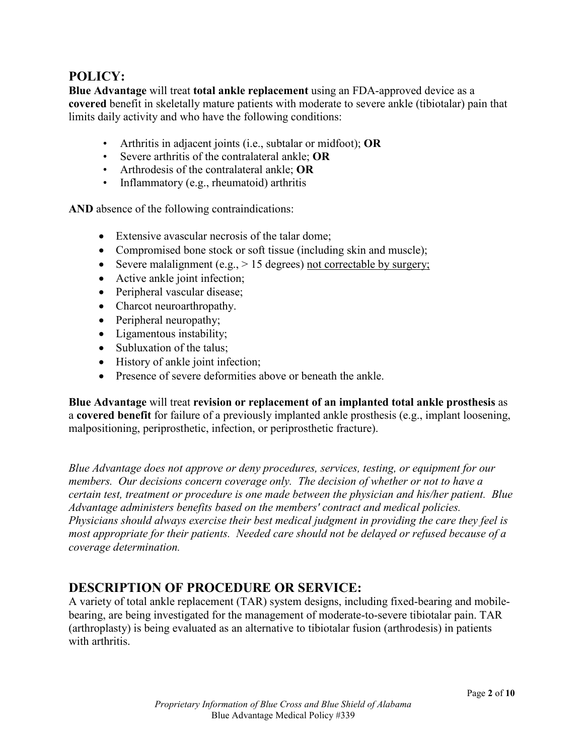## **POLICY:**

**Blue Advantage** will treat **total ankle replacement** using an FDA-approved device as a **covered** benefit in skeletally mature patients with moderate to severe ankle (tibiotalar) pain that limits daily activity and who have the following conditions:

- Arthritis in adjacent joints (i.e., subtalar or midfoot); **OR**
- Severe arthritis of the contralateral ankle; **OR**
- Arthrodesis of the contralateral ankle; **OR**
- Inflammatory (e.g., rheumatoid) arthritis

**AND** absence of the following contraindications:

- Extensive avascular necrosis of the talar dome;
- Compromised bone stock or soft tissue (including skin and muscle);
- Severe malalignment (e.g.,  $> 15$  degrees) not correctable by surgery;
- Active ankle joint infection;
- Peripheral vascular disease;
- Charcot neuroarthropathy.
- Peripheral neuropathy;
- Ligamentous instability;
- Subluxation of the talus:
- History of ankle joint infection;
- Presence of severe deformities above or beneath the ankle.

**Blue Advantage** will treat **revision or replacement of an implanted total ankle prosthesis** as a **covered benefit** for failure of a previously implanted ankle prosthesis (e.g., implant loosening, malpositioning, periprosthetic, infection, or periprosthetic fracture).

*Blue Advantage does not approve or deny procedures, services, testing, or equipment for our members. Our decisions concern coverage only. The decision of whether or not to have a certain test, treatment or procedure is one made between the physician and his/her patient. Blue Advantage administers benefits based on the members' contract and medical policies. Physicians should always exercise their best medical judgment in providing the care they feel is most appropriate for their patients. Needed care should not be delayed or refused because of a coverage determination.*

## **DESCRIPTION OF PROCEDURE OR SERVICE:**

A variety of total ankle replacement (TAR) system designs, including fixed-bearing and mobilebearing, are being investigated for the management of moderate-to-severe tibiotalar pain. TAR (arthroplasty) is being evaluated as an alternative to tibiotalar fusion (arthrodesis) in patients with arthritis.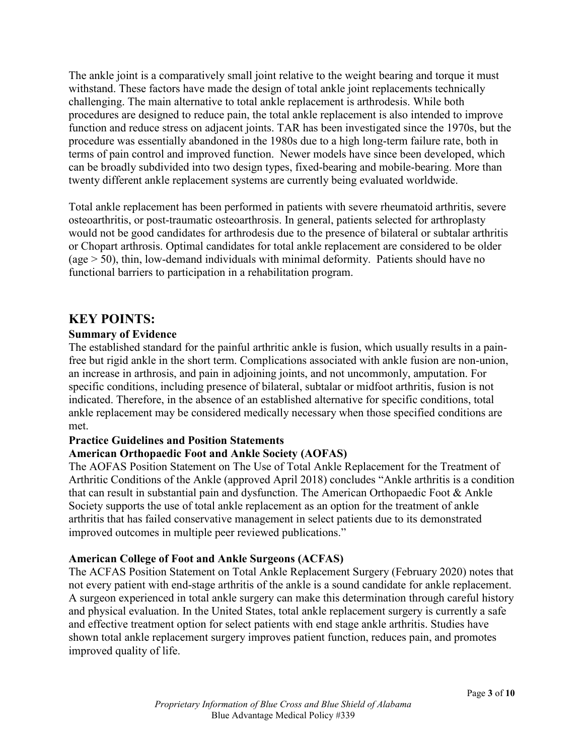The ankle joint is a comparatively small joint relative to the weight bearing and torque it must withstand. These factors have made the design of total ankle joint replacements technically challenging. The main alternative to total ankle replacement is arthrodesis. While both procedures are designed to reduce pain, the total ankle replacement is also intended to improve function and reduce stress on adjacent joints. TAR has been investigated since the 1970s, but the procedure was essentially abandoned in the 1980s due to a high long-term failure rate, both in terms of pain control and improved function. Newer models have since been developed, which can be broadly subdivided into two design types, fixed-bearing and mobile-bearing. More than twenty different ankle replacement systems are currently being evaluated worldwide.

Total ankle replacement has been performed in patients with severe rheumatoid arthritis, severe osteoarthritis, or post-traumatic osteoarthrosis. In general, patients selected for arthroplasty would not be good candidates for arthrodesis due to the presence of bilateral or subtalar arthritis or Chopart arthrosis. Optimal candidates for total ankle replacement are considered to be older (age > 50), thin, low-demand individuals with minimal deformity. Patients should have no functional barriers to participation in a rehabilitation program.

### **KEY POINTS:**

#### **Summary of Evidence**

The established standard for the painful arthritic ankle is fusion, which usually results in a painfree but rigid ankle in the short term. Complications associated with ankle fusion are non-union, an increase in arthrosis, and pain in adjoining joints, and not uncommonly, amputation. For specific conditions, including presence of bilateral, subtalar or midfoot arthritis, fusion is not indicated. Therefore, in the absence of an established alternative for specific conditions, total ankle replacement may be considered medically necessary when those specified conditions are met.

#### **Practice Guidelines and Position Statements**

#### **American Orthopaedic Foot and Ankle Society (AOFAS)**

The AOFAS Position Statement on The Use of Total Ankle Replacement for the Treatment of Arthritic Conditions of the Ankle (approved April 2018) concludes "Ankle arthritis is a condition that can result in substantial pain and dysfunction. The American Orthopaedic Foot & Ankle Society supports the use of total ankle replacement as an option for the treatment of ankle arthritis that has failed conservative management in select patients due to its demonstrated improved outcomes in multiple peer reviewed publications."

#### **American College of Foot and Ankle Surgeons (ACFAS)**

The ACFAS Position Statement on Total Ankle Replacement Surgery (February 2020) notes that not every patient with end-stage arthritis of the ankle is a sound candidate for ankle replacement. A surgeon experienced in total ankle surgery can make this determination through careful history and physical evaluation. In the United States, total ankle replacement surgery is currently a safe and effective treatment option for select patients with end stage ankle arthritis. Studies have shown total ankle replacement surgery improves patient function, reduces pain, and promotes improved quality of life.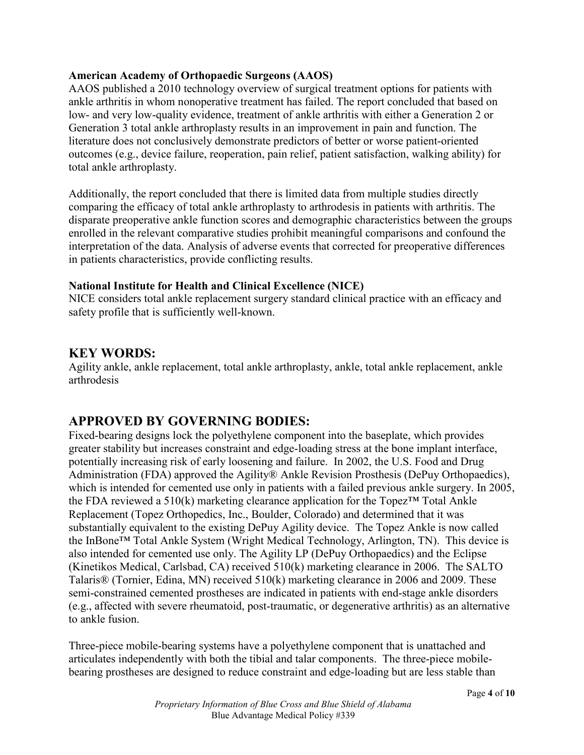#### **American Academy of Orthopaedic Surgeons (AAOS)**

AAOS published a 2010 technology overview of surgical treatment options for patients with ankle arthritis in whom nonoperative treatment has failed. The report concluded that based on low- and very low-quality evidence, treatment of ankle arthritis with either a Generation 2 or Generation 3 total ankle arthroplasty results in an improvement in pain and function. The literature does not conclusively demonstrate predictors of better or worse patient-oriented outcomes (e.g., device failure, reoperation, pain relief, patient satisfaction, walking ability) for total ankle arthroplasty.

Additionally, the report concluded that there is limited data from multiple studies directly comparing the efficacy of total ankle arthroplasty to arthrodesis in patients with arthritis. The disparate preoperative ankle function scores and demographic characteristics between the groups enrolled in the relevant comparative studies prohibit meaningful comparisons and confound the interpretation of the data. Analysis of adverse events that corrected for preoperative differences in patients characteristics, provide conflicting results.

#### **National Institute for Health and Clinical Excellence (NICE)**

NICE considers total ankle replacement surgery standard clinical practice with an efficacy and safety profile that is sufficiently well-known.

### **KEY WORDS:**

Agility ankle, ankle replacement, total ankle arthroplasty, ankle, total ankle replacement, ankle arthrodesis

## **APPROVED BY GOVERNING BODIES:**

Fixed-bearing designs lock the polyethylene component into the baseplate, which provides greater stability but increases constraint and edge-loading stress at the bone implant interface, potentially increasing risk of early loosening and failure. In 2002, the U.S. Food and Drug Administration (FDA) approved the Agility® Ankle Revision Prosthesis (DePuy Orthopaedics), which is intended for cemented use only in patients with a failed previous ankle surgery. In 2005, the FDA reviewed a  $510(k)$  marketing clearance application for the Topez<sup>TM</sup> Total Ankle Replacement (Topez Orthopedics, Inc., Boulder, Colorado) and determined that it was substantially equivalent to the existing DePuy Agility device. The Topez Ankle is now called the InBone™ Total Ankle System (Wright Medical Technology, Arlington, TN). This device is also intended for cemented use only. The Agility LP (DePuy Orthopaedics) and the Eclipse (Kinetikos Medical, Carlsbad, CA) received 510(k) marketing clearance in 2006. The SALTO Talaris® (Tornier, Edina, MN) received 510(k) marketing clearance in 2006 and 2009. These semi-constrained cemented prostheses are indicated in patients with end-stage ankle disorders (e.g., affected with severe rheumatoid, post-traumatic, or degenerative arthritis) as an alternative to ankle fusion.

Three-piece mobile-bearing systems have a polyethylene component that is unattached and articulates independently with both the tibial and talar components. The three-piece mobilebearing prostheses are designed to reduce constraint and edge-loading but are less stable than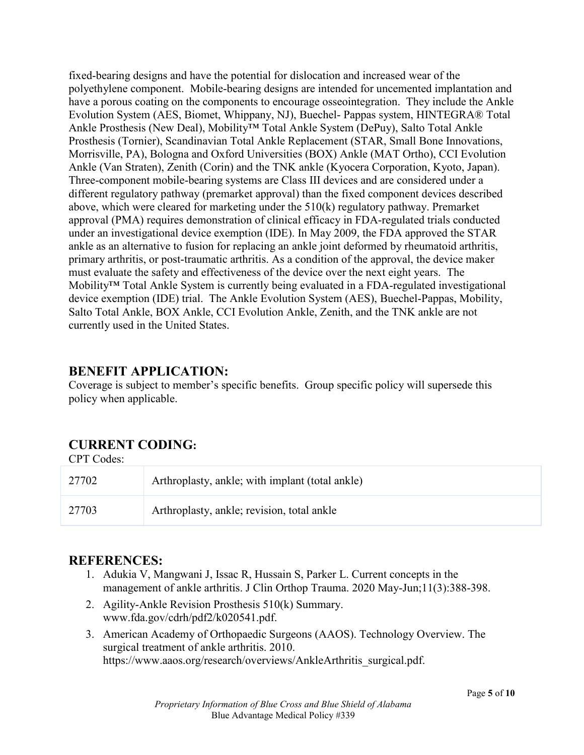fixed-bearing designs and have the potential for dislocation and increased wear of the polyethylene component. Mobile-bearing designs are intended for uncemented implantation and have a porous coating on the components to encourage osseointegration. They include the Ankle Evolution System (AES, Biomet, Whippany, NJ), Buechel- Pappas system, HINTEGRA® Total Ankle Prosthesis (New Deal), Mobility™ Total Ankle System (DePuy), Salto Total Ankle Prosthesis (Tornier), Scandinavian Total Ankle Replacement (STAR, Small Bone Innovations, Morrisville, PA), Bologna and Oxford Universities (BOX) Ankle (MAT Ortho), CCI Evolution Ankle (Van Straten), Zenith (Corin) and the TNK ankle (Kyocera Corporation, Kyoto, Japan). Three-component mobile-bearing systems are Class III devices and are considered under a different regulatory pathway (premarket approval) than the fixed component devices described above, which were cleared for marketing under the 510(k) regulatory pathway. Premarket approval (PMA) requires demonstration of clinical efficacy in FDA-regulated trials conducted under an investigational device exemption (IDE). In May 2009, the FDA approved the STAR ankle as an alternative to fusion for replacing an ankle joint deformed by rheumatoid arthritis, primary arthritis, or post-traumatic arthritis. As a condition of the approval, the device maker must evaluate the safety and effectiveness of the device over the next eight years. The Mobility™ Total Ankle System is currently being evaluated in a FDA-regulated investigational device exemption (IDE) trial. The Ankle Evolution System (AES), Buechel-Pappas, Mobility, Salto Total Ankle, BOX Ankle, CCI Evolution Ankle, Zenith, and the TNK ankle are not currently used in the United States.

## **BENEFIT APPLICATION:**

Coverage is subject to member's specific benefits. Group specific policy will supersede this policy when applicable.

# **CURRENT CODING:**

CPT Codes:

| 27702 | Arthroplasty, ankle; with implant (total ankle) |
|-------|-------------------------------------------------|
| 27703 | Arthroplasty, ankle; revision, total ankle      |

## **REFERENCES:**

- 1. Adukia V, Mangwani J, Issac R, Hussain S, Parker L. Current concepts in the management of ankle arthritis. J Clin Orthop Trauma. 2020 May-Jun;11(3):388-398.
- 2. Agility-Ankle Revision Prosthesis 510(k) Summary. www.fda.gov/cdrh/pdf2/k020541.pdf.
- 3. American Academy of Orthopaedic Surgeons (AAOS). Technology Overview. The surgical treatment of ankle arthritis. 2010. https://www.aaos.org/research/overviews/AnkleArthritis\_surgical.pdf.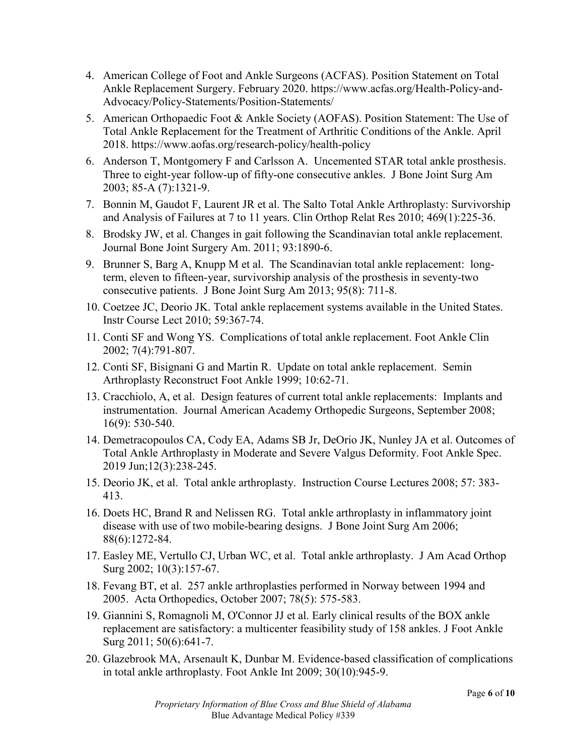- 4. American College of Foot and Ankle Surgeons (ACFAS). Position Statement on Total Ankle Replacement Surgery. February 2020. https://www.acfas.org/Health-Policy-and-Advocacy/Policy-Statements/Position-Statements/
- 5. American Orthopaedic Foot & Ankle Society (AOFAS). Position Statement: The Use of Total Ankle Replacement for the Treatment of Arthritic Conditions of the Ankle. April 2018. https://www.aofas.org/research-policy/health-policy
- 6. Anderson T, Montgomery F and Carlsson A. Uncemented STAR total ankle prosthesis. Three to eight-year follow-up of fifty-one consecutive ankles. J Bone Joint Surg Am 2003; 85-A (7):1321-9.
- 7. Bonnin M, Gaudot F, Laurent JR et al. The Salto Total Ankle Arthroplasty: Survivorship and Analysis of Failures at 7 to 11 years. Clin Orthop Relat Res 2010; 469(1):225-36.
- 8. Brodsky JW, et al. Changes in gait following the Scandinavian total ankle replacement. Journal Bone Joint Surgery Am. 2011; 93:1890-6.
- 9. Brunner S, Barg A, Knupp M et al. The Scandinavian total ankle replacement: longterm, eleven to fifteen-year, survivorship analysis of the prosthesis in seventy-two consecutive patients. J Bone Joint Surg Am 2013; 95(8): 711-8.
- 10. Coetzee JC, Deorio JK. Total ankle replacement systems available in the United States. Instr Course Lect 2010; 59:367-74.
- 11. Conti SF and Wong YS. Complications of total ankle replacement. Foot Ankle Clin 2002; 7(4):791-807.
- 12. Conti SF, Bisignani G and Martin R. Update on total ankle replacement. Semin Arthroplasty Reconstruct Foot Ankle 1999; 10:62-71.
- 13. Cracchiolo, A, et al. Design features of current total ankle replacements: Implants and instrumentation. Journal American Academy Orthopedic Surgeons, September 2008; 16(9): 530-540.
- 14. Demetracopoulos CA, Cody EA, Adams SB Jr, DeOrio JK, Nunley JA et al. Outcomes of Total Ankle Arthroplasty in Moderate and Severe Valgus Deformity. Foot Ankle Spec. 2019 Jun;12(3):238-245.
- 15. Deorio JK, et al. Total ankle arthroplasty. Instruction Course Lectures 2008; 57: 383- 413.
- 16. Doets HC, Brand R and Nelissen RG. Total ankle arthroplasty in inflammatory joint disease with use of two mobile-bearing designs. J Bone Joint Surg Am 2006; 88(6):1272-84.
- 17. Easley ME, Vertullo CJ, Urban WC, et al. Total ankle arthroplasty. J Am Acad Orthop Surg 2002; 10(3):157-67.
- 18. Fevang BT, et al. 257 ankle arthroplasties performed in Norway between 1994 and 2005. Acta Orthopedics, October 2007; 78(5): 575-583.
- 19. Giannini S, Romagnoli M, O'Connor JJ et al. Early clinical results of the BOX ankle replacement are satisfactory: a multicenter feasibility study of 158 ankles. J Foot Ankle Surg 2011; 50(6):641-7.
- 20. Glazebrook MA, Arsenault K, Dunbar M. Evidence-based classification of complications in total ankle arthroplasty. Foot Ankle Int 2009; 30(10):945-9.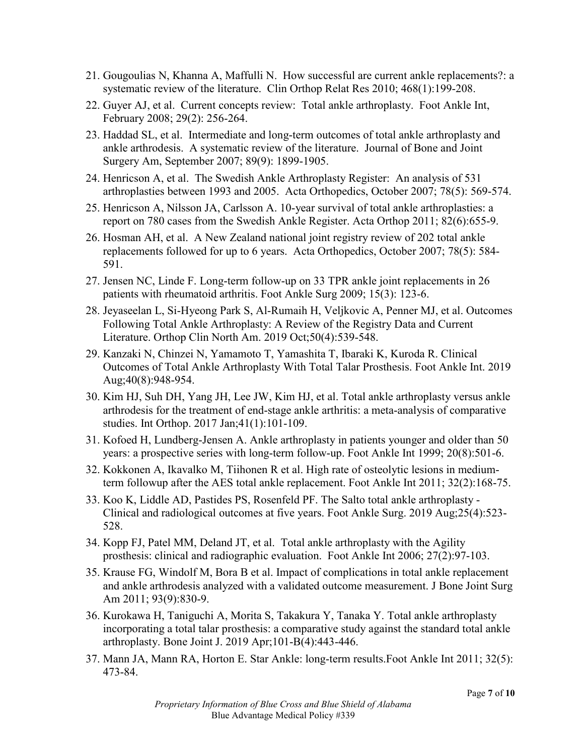- 21. Gougoulias N, Khanna A, Maffulli N. How successful are current ankle replacements?: a systematic review of the literature. Clin Orthop Relat Res 2010; 468(1):199-208.
- 22. Guyer AJ, et al. Current concepts review: Total ankle arthroplasty. Foot Ankle Int, February 2008; 29(2): 256-264.
- 23. Haddad SL, et al. Intermediate and long-term outcomes of total ankle arthroplasty and ankle arthrodesis. A systematic review of the literature. Journal of Bone and Joint Surgery Am, September 2007; 89(9): 1899-1905.
- 24. Henricson A, et al. The Swedish Ankle Arthroplasty Register: An analysis of 531 arthroplasties between 1993 and 2005. Acta Orthopedics, October 2007; 78(5): 569-574.
- 25. Henricson A, Nilsson JA, Carlsson A. 10-year survival of total ankle arthroplasties: a report on 780 cases from the Swedish Ankle Register. Acta Orthop 2011; 82(6):655-9.
- 26. Hosman AH, et al. A New Zealand national joint registry review of 202 total ankle replacements followed for up to 6 years. Acta Orthopedics, October 2007; 78(5): 584- 591.
- 27. Jensen NC, Linde F. Long-term follow-up on 33 TPR ankle joint replacements in 26 patients with rheumatoid arthritis. Foot Ankle Surg 2009; 15(3): 123-6.
- 28. Jeyaseelan L, Si-Hyeong Park S, Al-Rumaih H, Veljkovic A, Penner MJ, et al. Outcomes Following Total Ankle Arthroplasty: A Review of the Registry Data and Current Literature. Orthop Clin North Am. 2019 Oct;50(4):539-548.
- 29. Kanzaki N, Chinzei N, Yamamoto T, Yamashita T, Ibaraki K, Kuroda R. Clinical Outcomes of Total Ankle Arthroplasty With Total Talar Prosthesis. Foot Ankle Int. 2019 Aug;40(8):948-954.
- 30. Kim HJ, Suh DH, Yang JH, Lee JW, Kim HJ, et al. Total ankle arthroplasty versus ankle arthrodesis for the treatment of end-stage ankle arthritis: a meta-analysis of comparative studies. Int Orthop. 2017 Jan;41(1):101-109.
- 31. Kofoed H, Lundberg-Jensen A. Ankle arthroplasty in patients younger and older than 50 years: a prospective series with long-term follow-up. Foot Ankle Int 1999; 20(8):501-6.
- 32. Kokkonen A, Ikavalko M, Tiihonen R et al. High rate of osteolytic lesions in mediumterm followup after the AES total ankle replacement. Foot Ankle Int 2011; 32(2):168-75.
- 33. Koo K, Liddle AD, Pastides PS, Rosenfeld PF. The Salto total ankle arthroplasty Clinical and radiological outcomes at five years. Foot Ankle Surg. 2019 Aug;25(4):523- 528.
- 34. Kopp FJ, Patel MM, Deland JT, et al. Total ankle arthroplasty with the Agility prosthesis: clinical and radiographic evaluation. Foot Ankle Int 2006; 27(2):97-103.
- 35. Krause FG, Windolf M, Bora B et al. Impact of complications in total ankle replacement and ankle arthrodesis analyzed with a validated outcome measurement. J Bone Joint Surg Am 2011; 93(9):830-9.
- 36. Kurokawa H, Taniguchi A, Morita S, Takakura Y, Tanaka Y. Total ankle arthroplasty incorporating a total talar prosthesis: a comparative study against the standard total ankle arthroplasty. Bone Joint J. 2019 Apr;101-B(4):443-446.
- 37. Mann JA, Mann RA, Horton E. Star Ankle: long-term results.Foot Ankle Int 2011; 32(5): 473-84.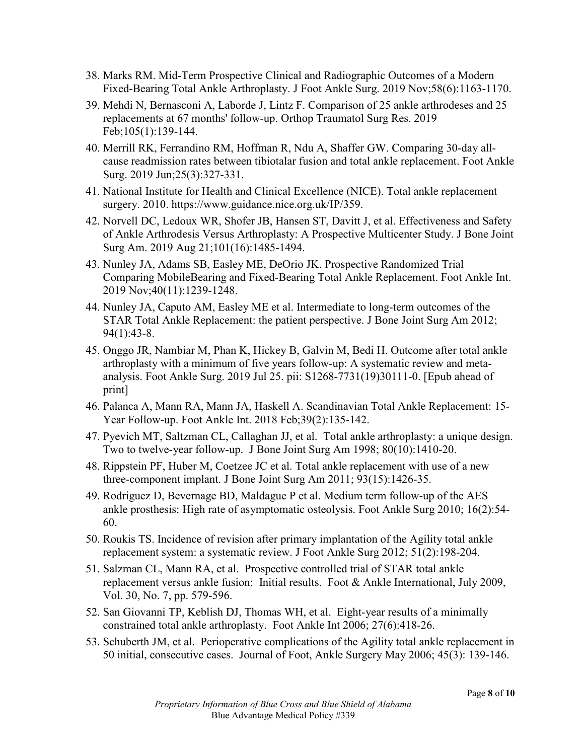- 38. Marks RM. Mid-Term Prospective Clinical and Radiographic Outcomes of a Modern Fixed-Bearing Total Ankle Arthroplasty. J Foot Ankle Surg. 2019 Nov;58(6):1163-1170.
- 39. Mehdi N, Bernasconi A, Laborde J, Lintz F. Comparison of 25 ankle arthrodeses and 25 replacements at 67 months' follow-up. Orthop Traumatol Surg Res. 2019 Feb;105(1):139-144.
- 40. Merrill RK, Ferrandino RM, Hoffman R, Ndu A, Shaffer GW. Comparing 30-day allcause readmission rates between tibiotalar fusion and total ankle replacement. Foot Ankle Surg. 2019 Jun;25(3):327-331.
- 41. National Institute for Health and Clinical Excellence (NICE). Total ankle replacement surgery. 2010. https://www.guidance.nice.org.uk/IP/359.
- 42. Norvell DC, Ledoux WR, Shofer JB, Hansen ST, Davitt J, et al. Effectiveness and Safety of Ankle Arthrodesis Versus Arthroplasty: A Prospective Multicenter Study. J Bone Joint Surg Am. 2019 Aug 21;101(16):1485-1494.
- 43. Nunley JA, Adams SB, Easley ME, DeOrio JK. Prospective Randomized Trial Comparing MobileBearing and Fixed-Bearing Total Ankle Replacement. Foot Ankle Int. 2019 Nov;40(11):1239-1248.
- 44. Nunley JA, Caputo AM, Easley ME et al. Intermediate to long-term outcomes of the STAR Total Ankle Replacement: the patient perspective. J Bone Joint Surg Am 2012; 94(1):43-8.
- 45. Onggo JR, Nambiar M, Phan K, Hickey B, Galvin M, Bedi H. Outcome after total ankle arthroplasty with a minimum of five years follow-up: A systematic review and metaanalysis. Foot Ankle Surg. 2019 Jul 25. pii: S1268-7731(19)30111-0. [Epub ahead of print]
- 46. Palanca A, Mann RA, Mann JA, Haskell A. Scandinavian Total Ankle Replacement: 15- Year Follow-up. Foot Ankle Int. 2018 Feb;39(2):135-142.
- 47. Pyevich MT, Saltzman CL, Callaghan JJ, et al. Total ankle arthroplasty: a unique design. Two to twelve-year follow-up. J Bone Joint Surg Am 1998; 80(10):1410-20.
- 48. Rippstein PF, Huber M, Coetzee JC et al. Total ankle replacement with use of a new three-component implant. J Bone Joint Surg Am 2011; 93(15):1426-35.
- 49. Rodriguez D, Bevernage BD, Maldague P et al. Medium term follow-up of the AES ankle prosthesis: High rate of asymptomatic osteolysis. Foot Ankle Surg 2010; 16(2):54- 60.
- 50. Roukis TS. Incidence of revision after primary implantation of the Agility total ankle replacement system: a systematic review. J Foot Ankle Surg 2012; 51(2):198-204.
- 51. Salzman CL, Mann RA, et al. Prospective controlled trial of STAR total ankle replacement versus ankle fusion: Initial results. Foot & Ankle International, July 2009, Vol. 30, No. 7, pp. 579-596.
- 52. San Giovanni TP, Keblish DJ, Thomas WH, et al. Eight-year results of a minimally constrained total ankle arthroplasty. Foot Ankle Int 2006; 27(6):418-26.
- 53. Schuberth JM, et al. Perioperative complications of the Agility total ankle replacement in 50 initial, consecutive cases. Journal of Foot, Ankle Surgery May 2006; 45(3): 139-146.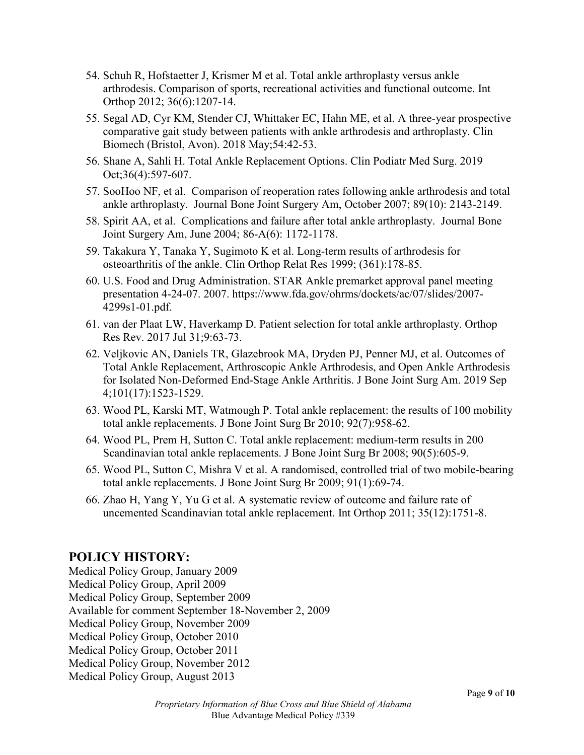- 54. Schuh R, Hofstaetter J, Krismer M et al. Total ankle arthroplasty versus ankle arthrodesis. Comparison of sports, recreational activities and functional outcome. Int Orthop 2012; 36(6):1207-14.
- 55. Segal AD, Cyr KM, Stender CJ, Whittaker EC, Hahn ME, et al. A three-year prospective comparative gait study between patients with ankle arthrodesis and arthroplasty. Clin Biomech (Bristol, Avon). 2018 May;54:42-53.
- 56. Shane A, Sahli H. Total Ankle Replacement Options. Clin Podiatr Med Surg. 2019 Oct;36(4):597-607.
- 57. SooHoo NF, et al. Comparison of reoperation rates following ankle arthrodesis and total ankle arthroplasty. Journal Bone Joint Surgery Am, October 2007; 89(10): 2143-2149.
- 58. Spirit AA, et al. Complications and failure after total ankle arthroplasty. Journal Bone Joint Surgery Am, June 2004; 86-A(6): 1172-1178.
- 59. Takakura Y, Tanaka Y, Sugimoto K et al. Long-term results of arthrodesis for osteoarthritis of the ankle. Clin Orthop Relat Res 1999; (361):178-85.
- 60. U.S. Food and Drug Administration. STAR Ankle premarket approval panel meeting presentation 4-24-07. 2007. https://www.fda.gov/ohrms/dockets/ac/07/slides/2007- 4299s1-01.pdf.
- 61. van der Plaat LW, Haverkamp D. Patient selection for total ankle arthroplasty. Orthop Res Rev. 2017 Jul 31;9:63-73.
- 62. Veljkovic AN, Daniels TR, Glazebrook MA, Dryden PJ, Penner MJ, et al. Outcomes of Total Ankle Replacement, Arthroscopic Ankle Arthrodesis, and Open Ankle Arthrodesis for Isolated Non-Deformed End-Stage Ankle Arthritis. J Bone Joint Surg Am. 2019 Sep 4;101(17):1523-1529.
- 63. Wood PL, Karski MT, Watmough P. Total ankle replacement: the results of 100 mobility total ankle replacements. J Bone Joint Surg Br 2010; 92(7):958-62.
- 64. Wood PL, Prem H, Sutton C. Total ankle replacement: medium-term results in 200 Scandinavian total ankle replacements. J Bone Joint Surg Br 2008; 90(5):605-9.
- 65. Wood PL, Sutton C, Mishra V et al. A randomised, controlled trial of two mobile-bearing total ankle replacements. J Bone Joint Surg Br 2009; 91(1):69-74.
- 66. Zhao H, Yang Y, Yu G et al. A systematic review of outcome and failure rate of uncemented Scandinavian total ankle replacement. Int Orthop 2011; 35(12):1751-8.

## **POLICY HISTORY:**

Medical Policy Group, January 2009 Medical Policy Group, April 2009 Medical Policy Group, September 2009 Available for comment September 18-November 2, 2009 Medical Policy Group, November 2009 Medical Policy Group, October 2010 Medical Policy Group, October 2011 Medical Policy Group, November 2012 Medical Policy Group, August 2013